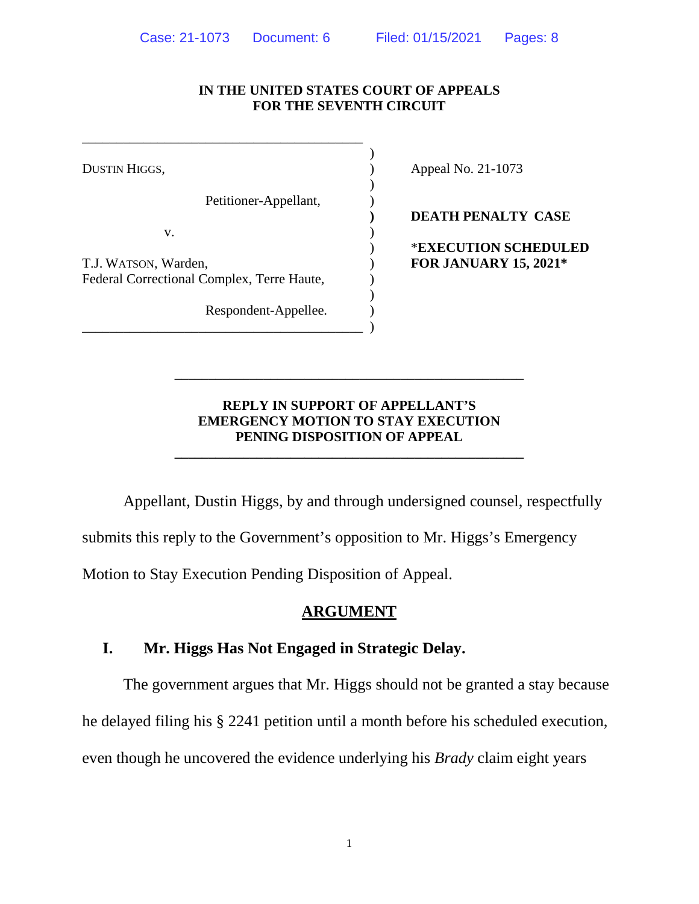#### **IN THE UNITED STATES COURT OF APPEALS FOR THE SEVENTH CIRCUIT**

)

)

)

Petitioner-Appellant, )

 $\mathbf{v}$ .

T.J. WATSON, Warden, ) **FOR JANUARY 15, 2021\*** Federal Correctional Complex, Terre Haute,

\_\_\_\_\_\_\_\_\_\_\_\_\_\_\_\_\_\_\_\_\_\_\_\_\_\_\_\_\_\_\_\_\_\_\_\_\_\_\_\_\_ )

\_\_\_\_\_\_\_\_\_\_\_\_\_\_\_\_\_\_\_\_\_\_\_\_\_\_\_\_\_\_\_\_\_\_\_\_\_\_\_\_\_

Respondent-Appellee.

DUSTIN HIGGS,  $\qquad \qquad$  Appeal No. 21-1073

**) DEATH PENALTY CASE**

) \***EXECUTION SCHEDULED**

#### **REPLY IN SUPPORT OF APPELLANT'S EMERGENCY MOTION TO STAY EXECUTION PENING DISPOSITION OF APPEAL**

**\_\_\_\_\_\_\_\_\_\_\_\_\_\_\_\_\_\_\_\_\_\_\_\_\_\_\_\_\_\_\_\_\_\_\_\_\_\_\_\_\_\_\_\_\_\_\_\_\_\_\_**

\_\_\_\_\_\_\_\_\_\_\_\_\_\_\_\_\_\_\_\_\_\_\_\_\_\_\_\_\_\_\_\_\_\_\_\_\_\_\_\_\_\_\_\_\_\_\_\_\_\_\_

Appellant, Dustin Higgs, by and through undersigned counsel, respectfully

submits this reply to the Government's opposition to Mr. Higgs's Emergency

Motion to Stay Execution Pending Disposition of Appeal.

### **ARGUMENT**

#### **I. Mr. Higgs Has Not Engaged in Strategic Delay.**

The government argues that Mr. Higgs should not be granted a stay because he delayed filing his § 2241 petition until a month before his scheduled execution, even though he uncovered the evidence underlying his *Brady* claim eight years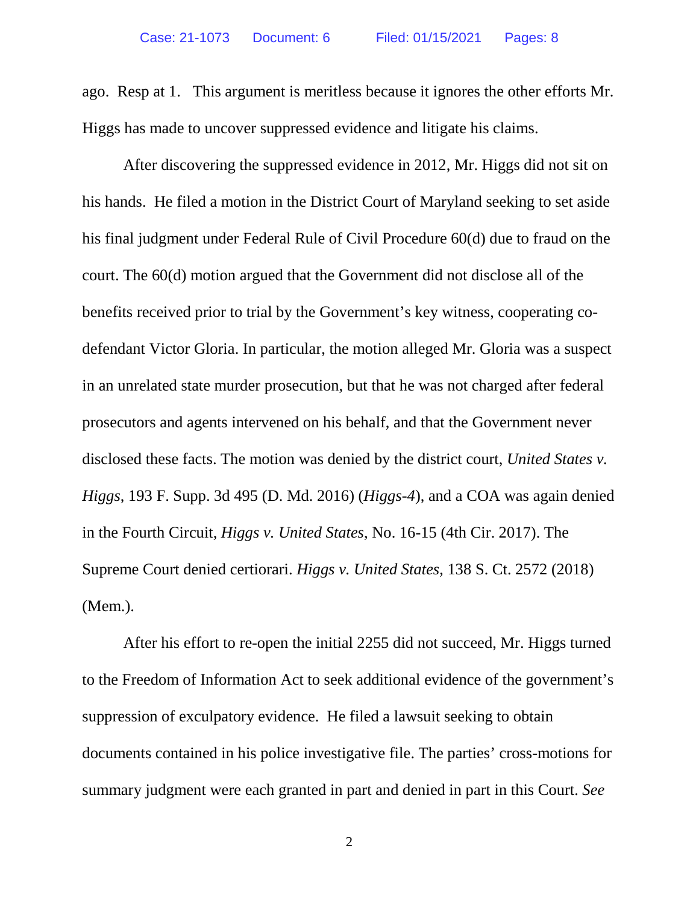ago. Resp at 1. This argument is meritless because it ignores the other efforts Mr. Higgs has made to uncover suppressed evidence and litigate his claims.

After discovering the suppressed evidence in 2012, Mr. Higgs did not sit on his hands. He filed a motion in the District Court of Maryland seeking to set aside his final judgment under Federal Rule of Civil Procedure 60(d) due to fraud on the court. The 60(d) motion argued that the Government did not disclose all of the benefits received prior to trial by the Government's key witness, cooperating codefendant Victor Gloria. In particular, the motion alleged Mr. Gloria was a suspect in an unrelated state murder prosecution, but that he was not charged after federal prosecutors and agents intervened on his behalf, and that the Government never disclosed these facts. The motion was denied by the district court, *United States v. Higgs*, 193 F. Supp. 3d 495 (D. Md. 2016) (*Higgs-4*), and a COA was again denied in the Fourth Circuit, *Higgs v. United States*, No. 16-15 (4th Cir. 2017). The Supreme Court denied certiorari. *Higgs v. United States*, 138 S. Ct. 2572 (2018) (Mem.).

After his effort to re-open the initial 2255 did not succeed, Mr. Higgs turned to the Freedom of Information Act to seek additional evidence of the government's suppression of exculpatory evidence. He filed a lawsuit seeking to obtain documents contained in his police investigative file. The parties' cross-motions for summary judgment were each granted in part and denied in part in this Court. *See* 

2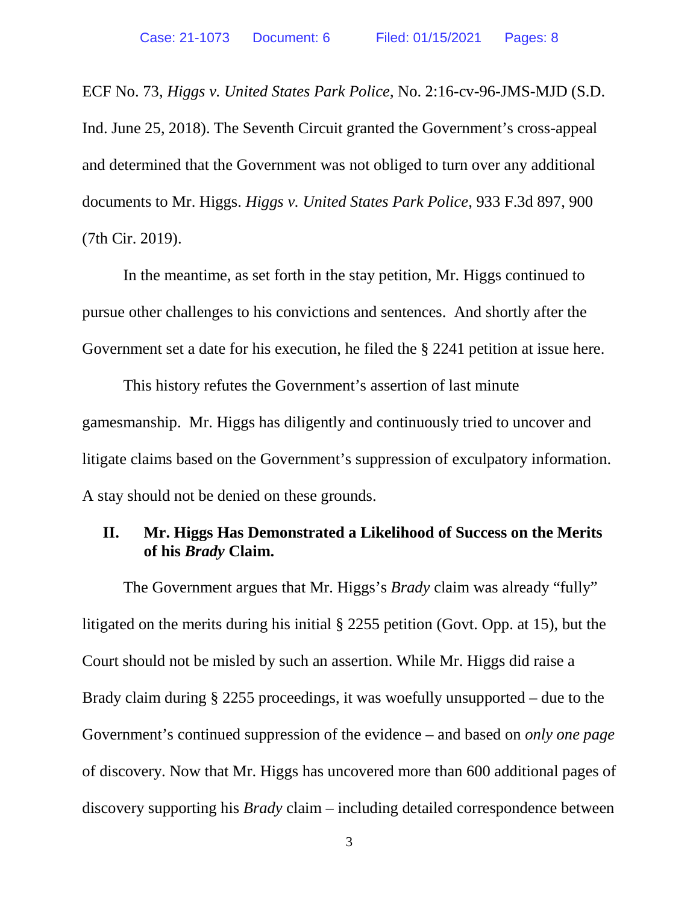ECF No. 73, *Higgs v. United States Park Police*, No. 2:16-cv-96-JMS-MJD (S.D. Ind. June 25, 2018). The Seventh Circuit granted the Government's cross-appeal and determined that the Government was not obliged to turn over any additional documents to Mr. Higgs. *Higgs v. United States Park Police*, 933 F.3d 897, 900 (7th Cir. 2019).

In the meantime, as set forth in the stay petition, Mr. Higgs continued to pursue other challenges to his convictions and sentences. And shortly after the Government set a date for his execution, he filed the § 2241 petition at issue here.

This history refutes the Government's assertion of last minute gamesmanship. Mr. Higgs has diligently and continuously tried to uncover and litigate claims based on the Government's suppression of exculpatory information. A stay should not be denied on these grounds.

## **II. Mr. Higgs Has Demonstrated a Likelihood of Success on the Merits of his** *Brady* **Claim.**

The Government argues that Mr. Higgs's *Brady* claim was already "fully" litigated on the merits during his initial § 2255 petition (Govt. Opp. at 15), but the Court should not be misled by such an assertion. While Mr. Higgs did raise a Brady claim during § 2255 proceedings, it was woefully unsupported – due to the Government's continued suppression of the evidence – and based on *only one page* of discovery. Now that Mr. Higgs has uncovered more than 600 additional pages of discovery supporting his *Brady* claim – including detailed correspondence between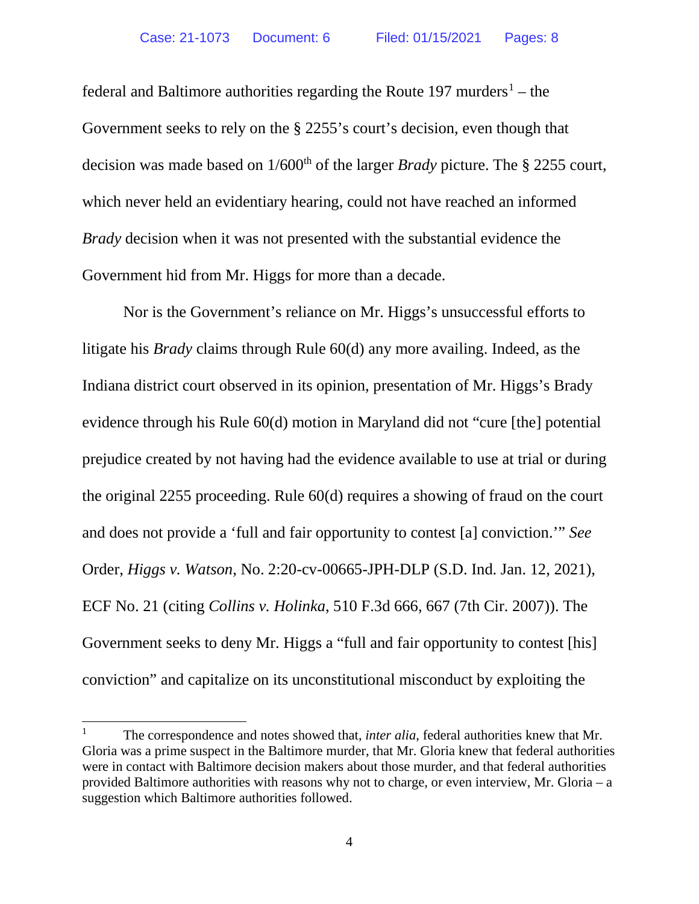federal and Baltimore authorities regarding the Route  $197$  $197$  murders<sup>1</sup> – the Government seeks to rely on the § 2255's court's decision, even though that decision was made based on 1/600<sup>th</sup> of the larger *Brady* picture. The § 2255 court, which never held an evidentiary hearing, could not have reached an informed *Brady* decision when it was not presented with the substantial evidence the Government hid from Mr. Higgs for more than a decade.

Nor is the Government's reliance on Mr. Higgs's unsuccessful efforts to litigate his *Brady* claims through Rule 60(d) any more availing. Indeed, as the Indiana district court observed in its opinion, presentation of Mr. Higgs's Brady evidence through his Rule 60(d) motion in Maryland did not "cure [the] potential prejudice created by not having had the evidence available to use at trial or during the original 2255 proceeding. Rule 60(d) requires a showing of fraud on the court and does not provide a 'full and fair opportunity to contest [a] conviction.'" *See* Order, *Higgs v. Watson*, No. 2:20-cv-00665-JPH-DLP (S.D. Ind. Jan. 12, 2021), ECF No. 21 (citing *Collins v. Holinka*, 510 F.3d 666, 667 (7th Cir. 2007)). The Government seeks to deny Mr. Higgs a "full and fair opportunity to contest [his] conviction" and capitalize on its unconstitutional misconduct by exploiting the

<span id="page-3-0"></span><sup>&</sup>lt;sup>1</sup> The correspondence and notes showed that, *inter alia*, federal authorities knew that Mr. Gloria was a prime suspect in the Baltimore murder, that Mr. Gloria knew that federal authorities were in contact with Baltimore decision makers about those murder, and that federal authorities provided Baltimore authorities with reasons why not to charge, or even interview, Mr. Gloria – a suggestion which Baltimore authorities followed.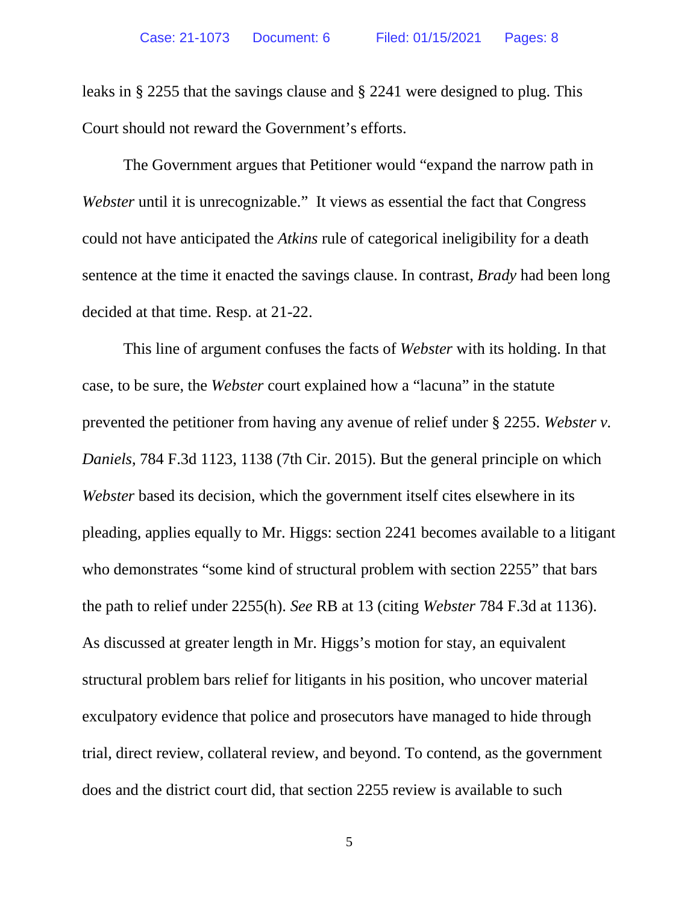leaks in § 2255 that the savings clause and § 2241 were designed to plug. This Court should not reward the Government's efforts.

The Government argues that Petitioner would "expand the narrow path in *Webster* until it is unrecognizable." It views as essential the fact that Congress could not have anticipated the *Atkins* rule of categorical ineligibility for a death sentence at the time it enacted the savings clause. In contrast, *Brady* had been long decided at that time. Resp. at 21-22.

This line of argument confuses the facts of *Webster* with its holding. In that case, to be sure, the *Webster* court explained how a "lacuna" in the statute prevented the petitioner from having any avenue of relief under § 2255. *Webster v. Daniels*, 784 F.3d 1123, 1138 (7th Cir. 2015). But the general principle on which *Webster* based its decision, which the government itself cites elsewhere in its pleading, applies equally to Mr. Higgs: section 2241 becomes available to a litigant who demonstrates "some kind of structural problem with section 2255" that bars the path to relief under 2255(h). *See* RB at 13 (citing *Webster* 784 F.3d at 1136). As discussed at greater length in Mr. Higgs's motion for stay, an equivalent structural problem bars relief for litigants in his position, who uncover material exculpatory evidence that police and prosecutors have managed to hide through trial, direct review, collateral review, and beyond. To contend, as the government does and the district court did, that section 2255 review is available to such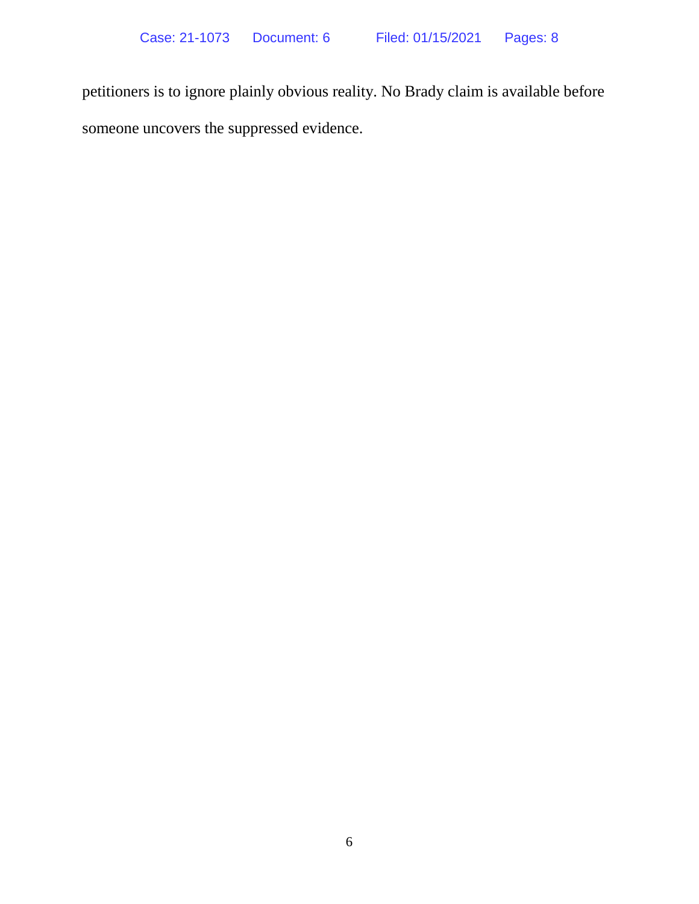petitioners is to ignore plainly obvious reality. No Brady claim is available before someone uncovers the suppressed evidence.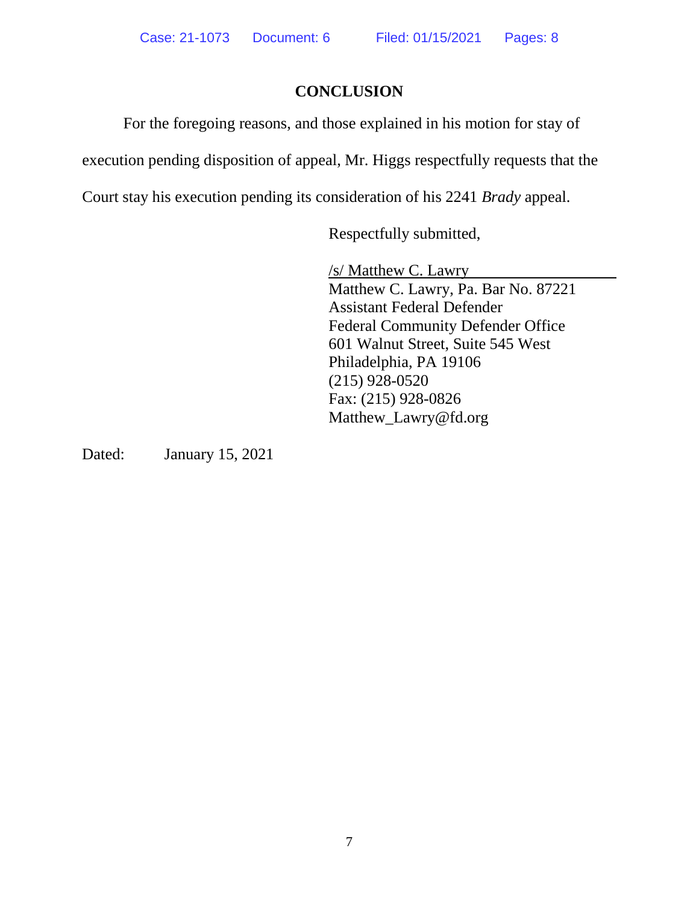# **CONCLUSION**

For the foregoing reasons, and those explained in his motion for stay of

execution pending disposition of appeal, Mr. Higgs respectfully requests that the

Court stay his execution pending its consideration of his 2241 *Brady* appeal.

Respectfully submitted,

/s/ Matthew C. Lawry Matthew C. Lawry, Pa. Bar No. 87221 Assistant Federal Defender Federal Community Defender Office 601 Walnut Street, Suite 545 West Philadelphia, PA 19106 (215) 928-0520 Fax: (215) 928-0826 Matthew\_Lawry@fd.org

Dated: January 15, 2021